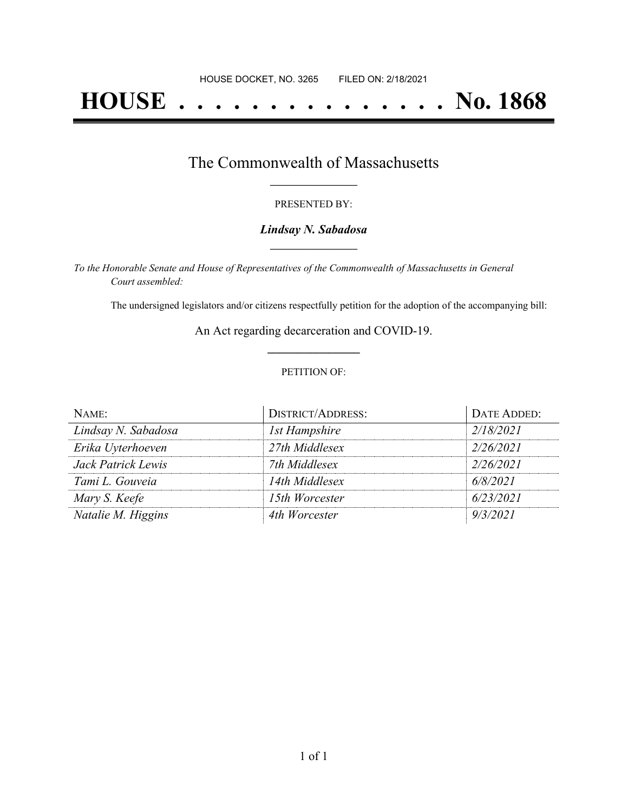# **HOUSE . . . . . . . . . . . . . . . No. 1868**

### The Commonwealth of Massachusetts **\_\_\_\_\_\_\_\_\_\_\_\_\_\_\_\_\_**

#### PRESENTED BY:

#### *Lindsay N. Sabadosa* **\_\_\_\_\_\_\_\_\_\_\_\_\_\_\_\_\_**

*To the Honorable Senate and House of Representatives of the Commonwealth of Massachusetts in General Court assembled:*

The undersigned legislators and/or citizens respectfully petition for the adoption of the accompanying bill:

An Act regarding decarceration and COVID-19. **\_\_\_\_\_\_\_\_\_\_\_\_\_\_\_**

#### PETITION OF:

| $N$ AME:            | <b>DISTRICT/ADDRESS:</b> | DATE ADDED: |
|---------------------|--------------------------|-------------|
| Lindsay N. Sabadosa | 1st Hampshire            | 2/18/2021   |
| Erika Uyterhoeven   | 27th Middlesex           | 2/26/2021   |
| Jack Patrick Lewis  | 7th Middlesex            | 2/26/2021   |
| Tami L. Gouveia     | 14th Middlesex           | 6/8/2021    |
| Mary S. Keefe       | 15th Worcester           | 6/23/2021   |
| Natalie M. Higgins  | 4th Worcester            | 9/3/2021    |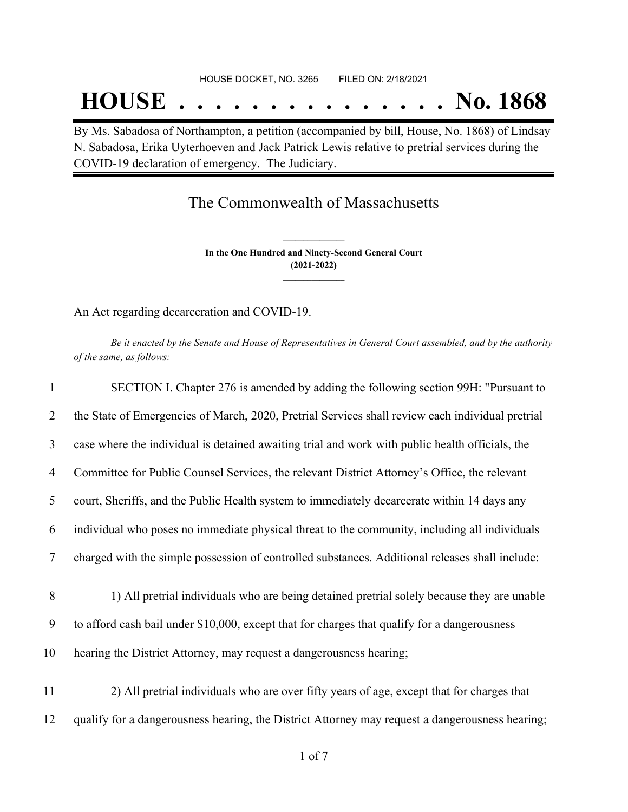## **HOUSE . . . . . . . . . . . . . . . No. 1868**

By Ms. Sabadosa of Northampton, a petition (accompanied by bill, House, No. 1868) of Lindsay N. Sabadosa, Erika Uyterhoeven and Jack Patrick Lewis relative to pretrial services during the COVID-19 declaration of emergency. The Judiciary.

## The Commonwealth of Massachusetts

**In the One Hundred and Ninety-Second General Court (2021-2022) \_\_\_\_\_\_\_\_\_\_\_\_\_\_\_**

**\_\_\_\_\_\_\_\_\_\_\_\_\_\_\_**

An Act regarding decarceration and COVID-19.

Be it enacted by the Senate and House of Representatives in General Court assembled, and by the authority *of the same, as follows:*

| $\mathbf{1}$             | SECTION I. Chapter 276 is amended by adding the following section 99H: "Pursuant to              |
|--------------------------|--------------------------------------------------------------------------------------------------|
| 2                        | the State of Emergencies of March, 2020, Pretrial Services shall review each individual pretrial |
| 3                        | case where the individual is detained awaiting trial and work with public health officials, the  |
| 4                        | Committee for Public Counsel Services, the relevant District Attorney's Office, the relevant     |
| 5                        | court, Sheriffs, and the Public Health system to immediately decarcerate within 14 days any      |
| 6                        | individual who poses no immediate physical threat to the community, including all individuals    |
| $\overline{\mathcal{L}}$ | charged with the simple possession of controlled substances. Additional releases shall include:  |
| 8                        | 1) All pretrial individuals who are being detained pretrial solely because they are unable       |
| 9                        | to afford cash bail under \$10,000, except that for charges that qualify for a dangerousness     |
| 10                       | hearing the District Attorney, may request a dangerousness hearing;                              |
| 11                       | 2) All pretrial individuals who are over fifty years of age, except that for charges that        |
| 12                       | qualify for a dangerousness hearing, the District Attorney may request a dangerousness hearing;  |
|                          |                                                                                                  |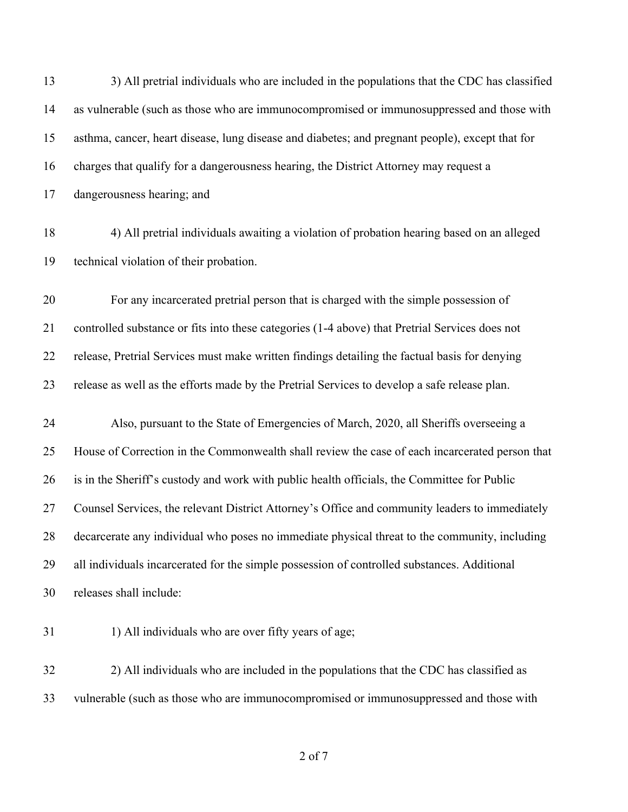| 13 | 3) All pretrial individuals who are included in the populations that the CDC has classified     |
|----|-------------------------------------------------------------------------------------------------|
| 14 | as vulnerable (such as those who are immunocompromised or immunosuppressed and those with       |
| 15 | asthma, cancer, heart disease, lung disease and diabetes; and pregnant people), except that for |
| 16 | charges that qualify for a dangerousness hearing, the District Attorney may request a           |
| 17 | dangerousness hearing; and                                                                      |
| 18 | 4) All pretrial individuals awaiting a violation of probation hearing based on an alleged       |
| 19 | technical violation of their probation.                                                         |
| 20 | For any incarcerated pretrial person that is charged with the simple possession of              |
| 21 | controlled substance or fits into these categories (1-4 above) that Pretrial Services does not  |
| 22 | release, Pretrial Services must make written findings detailing the factual basis for denying   |
| 23 | release as well as the efforts made by the Pretrial Services to develop a safe release plan.    |
| 24 | Also, pursuant to the State of Emergencies of March, 2020, all Sheriffs overseeing a            |
| 25 | House of Correction in the Commonwealth shall review the case of each incarcerated person that  |
| 26 | is in the Sheriff's custody and work with public health officials, the Committee for Public     |
| 27 | Counsel Services, the relevant District Attorney's Office and community leaders to immediately  |
| 28 | decarcerate any individual who poses no immediate physical threat to the community, including   |
| 29 | all individuals incarcerated for the simple possession of controlled substances. Additional     |
| 30 | releases shall include:                                                                         |
| 31 | 1) All individuals who are over fifty years of age;                                             |
| 32 | 2) All individuals who are included in the populations that the CDC has classified as           |
| 33 | vulnerable (such as those who are immunocompromised or immunosuppressed and those with          |
|    |                                                                                                 |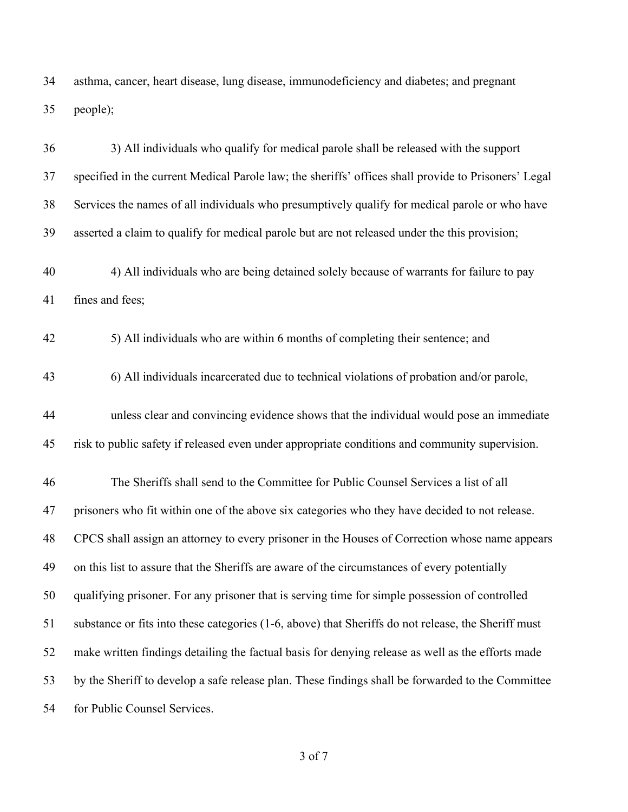asthma, cancer, heart disease, lung disease, immunodeficiency and diabetes; and pregnant people);

 3) All individuals who qualify for medical parole shall be released with the support specified in the current Medical Parole law; the sheriffs' offices shall provide to Prisoners' Legal Services the names of all individuals who presumptively qualify for medical parole or who have asserted a claim to qualify for medical parole but are not released under the this provision; 4) All individuals who are being detained solely because of warrants for failure to pay fines and fees; 5) All individuals who are within 6 months of completing their sentence; and 6) All individuals incarcerated due to technical violations of probation and/or parole, unless clear and convincing evidence shows that the individual would pose an immediate risk to public safety if released even under appropriate conditions and community supervision. The Sheriffs shall send to the Committee for Public Counsel Services a list of all prisoners who fit within one of the above six categories who they have decided to not release. CPCS shall assign an attorney to every prisoner in the Houses of Correction whose name appears on this list to assure that the Sheriffs are aware of the circumstances of every potentially qualifying prisoner. For any prisoner that is serving time for simple possession of controlled substance or fits into these categories (1-6, above) that Sheriffs do not release, the Sheriff must make written findings detailing the factual basis for denying release as well as the efforts made by the Sheriff to develop a safe release plan. These findings shall be forwarded to the Committee for Public Counsel Services.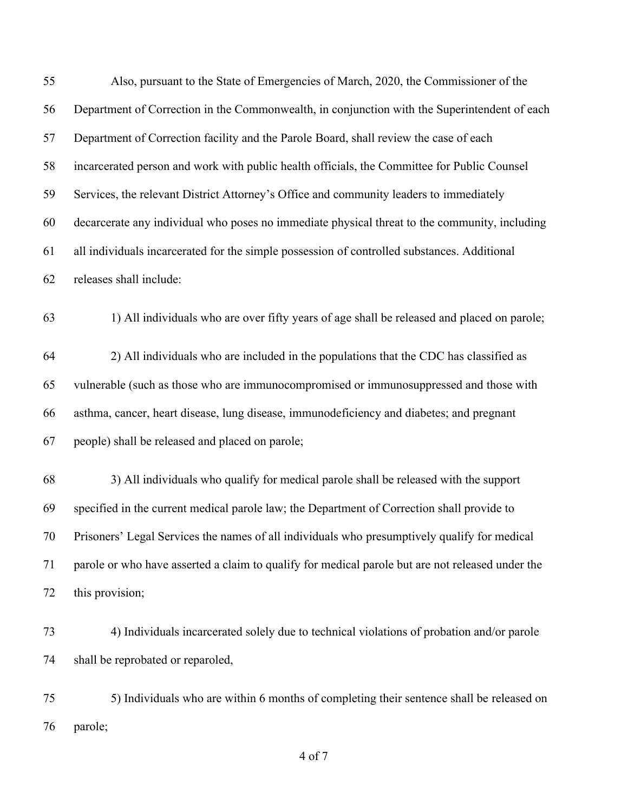| 55 | Also, pursuant to the State of Emergencies of March, 2020, the Commissioner of the               |
|----|--------------------------------------------------------------------------------------------------|
| 56 | Department of Correction in the Commonwealth, in conjunction with the Superintendent of each     |
| 57 | Department of Correction facility and the Parole Board, shall review the case of each            |
| 58 | incarcerated person and work with public health officials, the Committee for Public Counsel      |
| 59 | Services, the relevant District Attorney's Office and community leaders to immediately           |
| 60 | decarcerate any individual who poses no immediate physical threat to the community, including    |
| 61 | all individuals incarcerated for the simple possession of controlled substances. Additional      |
| 62 | releases shall include:                                                                          |
| 63 | 1) All individuals who are over fifty years of age shall be released and placed on parole;       |
| 64 | 2) All individuals who are included in the populations that the CDC has classified as            |
| 65 | vulnerable (such as those who are immunocompromised or immunosuppressed and those with           |
| 66 | asthma, cancer, heart disease, lung disease, immunodeficiency and diabetes; and pregnant         |
| 67 | people) shall be released and placed on parole;                                                  |
| 68 | 3) All individuals who qualify for medical parole shall be released with the support             |
| 69 | specified in the current medical parole law; the Department of Correction shall provide to       |
| 70 | Prisoners' Legal Services the names of all individuals who presumptively qualify for medical     |
| 71 | parole or who have asserted a claim to qualify for medical parole but are not released under the |
| 72 | this provision;                                                                                  |
| 73 | 4) Individuals incarcerated solely due to technical violations of probation and/or parole        |
| 74 | shall be reprobated or reparoled,                                                                |
| 75 | 5) Individuals who are within 6 months of completing their sentence shall be released on         |
| 76 | parole;                                                                                          |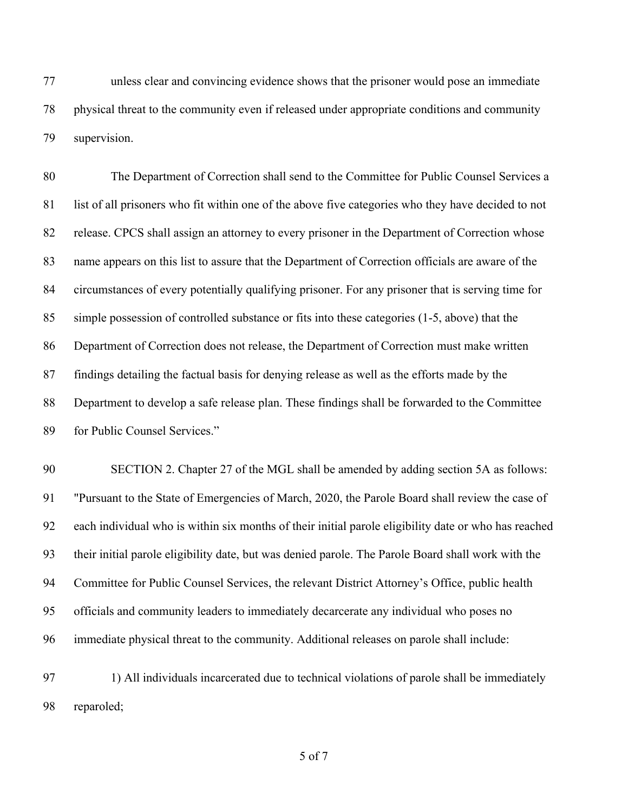unless clear and convincing evidence shows that the prisoner would pose an immediate physical threat to the community even if released under appropriate conditions and community supervision.

 The Department of Correction shall send to the Committee for Public Counsel Services a list of all prisoners who fit within one of the above five categories who they have decided to not release. CPCS shall assign an attorney to every prisoner in the Department of Correction whose name appears on this list to assure that the Department of Correction officials are aware of the circumstances of every potentially qualifying prisoner. For any prisoner that is serving time for simple possession of controlled substance or fits into these categories (1-5, above) that the Department of Correction does not release, the Department of Correction must make written findings detailing the factual basis for denying release as well as the efforts made by the Department to develop a safe release plan. These findings shall be forwarded to the Committee for Public Counsel Services."

 SECTION 2. Chapter 27 of the MGL shall be amended by adding section 5A as follows: "Pursuant to the State of Emergencies of March, 2020, the Parole Board shall review the case of each individual who is within six months of their initial parole eligibility date or who has reached their initial parole eligibility date, but was denied parole. The Parole Board shall work with the Committee for Public Counsel Services, the relevant District Attorney's Office, public health officials and community leaders to immediately decarcerate any individual who poses no immediate physical threat to the community. Additional releases on parole shall include:

97 1) All individuals incarcerated due to technical violations of parole shall be immediately reparoled;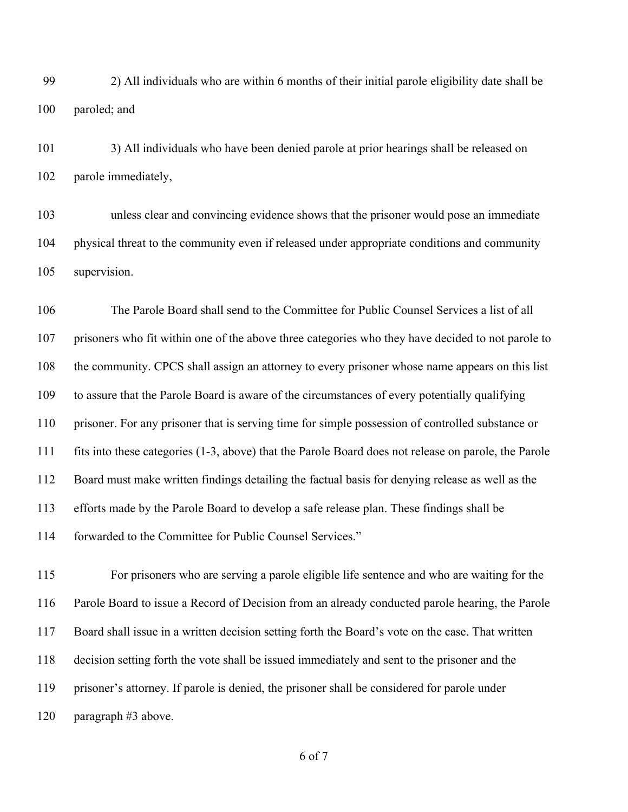2) All individuals who are within 6 months of their initial parole eligibility date shall be paroled; and

 3) All individuals who have been denied parole at prior hearings shall be released on parole immediately,

 unless clear and convincing evidence shows that the prisoner would pose an immediate physical threat to the community even if released under appropriate conditions and community supervision.

 The Parole Board shall send to the Committee for Public Counsel Services a list of all prisoners who fit within one of the above three categories who they have decided to not parole to the community. CPCS shall assign an attorney to every prisoner whose name appears on this list to assure that the Parole Board is aware of the circumstances of every potentially qualifying prisoner. For any prisoner that is serving time for simple possession of controlled substance or fits into these categories (1-3, above) that the Parole Board does not release on parole, the Parole Board must make written findings detailing the factual basis for denying release as well as the efforts made by the Parole Board to develop a safe release plan. These findings shall be forwarded to the Committee for Public Counsel Services."

 For prisoners who are serving a parole eligible life sentence and who are waiting for the Parole Board to issue a Record of Decision from an already conducted parole hearing, the Parole Board shall issue in a written decision setting forth the Board's vote on the case. That written decision setting forth the vote shall be issued immediately and sent to the prisoner and the prisoner's attorney. If parole is denied, the prisoner shall be considered for parole under paragraph #3 above.